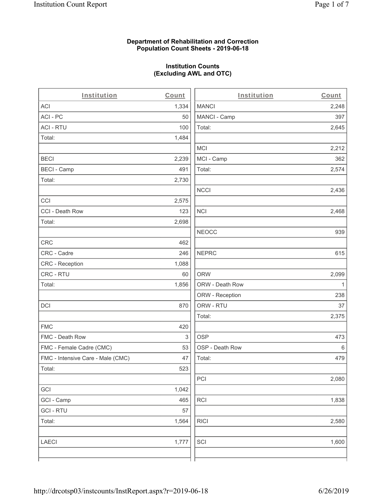### **Department of Rehabilitation and Correction Population Count Sheets - 2019-06-18**

# **Institution Counts (Excluding AWL and OTC)**

 $\overline{a}$ 

| Institution                       | Count | Institution     | Count        |
|-----------------------------------|-------|-----------------|--------------|
| ACI                               | 1,334 | <b>MANCI</b>    | 2,248        |
| ACI - PC                          | 50    | MANCI - Camp    | 397          |
| <b>ACI - RTU</b>                  | 100   | Total:          | 2,645        |
| Total:                            | 1,484 |                 |              |
|                                   |       | <b>MCI</b>      | 2,212        |
| <b>BECI</b>                       | 2,239 | MCI - Camp      | 362          |
| <b>BECI - Camp</b>                | 491   | Total:          | 2,574        |
| Total:                            | 2,730 |                 |              |
|                                   |       | <b>NCCI</b>     | 2,436        |
| CCI                               | 2,575 |                 |              |
| CCI - Death Row                   | 123   | <b>NCI</b>      | 2,468        |
| Total:                            | 2,698 |                 |              |
|                                   |       | <b>NEOCC</b>    | 939          |
| CRC                               | 462   |                 |              |
| CRC - Cadre                       | 246   | <b>NEPRC</b>    | 615          |
| <b>CRC</b> - Reception            | 1,088 |                 |              |
| CRC - RTU                         | 60    | <b>ORW</b>      | 2,099        |
| Total:                            | 1,856 | ORW - Death Row | $\mathbf{1}$ |
|                                   |       | ORW - Reception | 238          |
| DCI                               | 870   | ORW - RTU       | 37           |
|                                   |       | Total:          | 2,375        |
| <b>FMC</b>                        | 420   |                 |              |
| FMC - Death Row                   | 3     | <b>OSP</b>      | 473          |
| FMC - Female Cadre (CMC)          | 53    | OSP - Death Row | 6            |
| FMC - Intensive Care - Male (CMC) | 47    | Total:          | 479          |
| Total:                            | 523   |                 |              |
|                                   |       | PCI             | 2,080        |
| GCI                               | 1,042 |                 |              |
| GCI - Camp                        | 465   | <b>RCI</b>      | 1,838        |
| <b>GCI-RTU</b>                    | 57    |                 |              |
| Total:                            | 1,564 | <b>RICI</b>     | 2,580        |
| <b>LAECI</b>                      | 1,777 | SCI             | 1,600        |
|                                   |       |                 |              |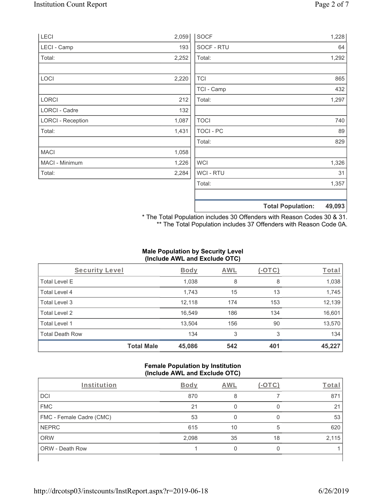| LECI                     | 2,059 | <b>SOCF</b>      | 1,228                              |
|--------------------------|-------|------------------|------------------------------------|
| LECI - Camp              | 193   | SOCF - RTU       | 64                                 |
| Total:                   | 2,252 | Total:           | 1,292                              |
|                          |       |                  |                                    |
| LOCI                     | 2,220 | <b>TCI</b>       | 865                                |
|                          |       | TCI - Camp       | 432                                |
| LORCI                    | 212   | Total:           | 1,297                              |
| <b>LORCI - Cadre</b>     | 132   |                  |                                    |
| <b>LORCI - Reception</b> | 1,087 | <b>TOCI</b>      | 740                                |
| Total:                   | 1,431 | <b>TOCI - PC</b> | 89                                 |
|                          |       | Total:           | 829                                |
| <b>MACI</b>              | 1,058 |                  |                                    |
| MACI - Minimum           | 1,226 | <b>WCI</b>       | 1,326                              |
| Total:                   | 2,284 | WCI - RTU        | 31                                 |
|                          |       | Total:           | 1,357                              |
|                          |       |                  |                                    |
|                          |       |                  | 49,093<br><b>Total Population:</b> |

\* The Total Population includes 30 Offenders with Reason Codes 30 & 31. \*\* The Total Population includes 37 Offenders with Reason Code 0A.

## **Male Population by Security Level (Include AWL and Exclude OTC)**

| Security Level         |                   | <b>Body</b> | <b>AWL</b> | $(-\text{OTC})$ | Total  |
|------------------------|-------------------|-------------|------------|-----------------|--------|
| <b>Total Level E</b>   |                   | 1,038       | 8          | 8               | 1,038  |
| <b>Total Level 4</b>   |                   | 1,743       | 15         | 13              | 1,745  |
| Total Level 3          |                   | 12,118      | 174        | 153             | 12,139 |
| Total Level 2          |                   | 16,549      | 186        | 134             | 16,601 |
| Total Level 1          |                   | 13,504      | 156        | 90              | 13,570 |
| <b>Total Death Row</b> |                   | 134         | 3          | 3               | 134    |
|                        | <b>Total Male</b> | 45,086      | 542        | 401             | 45,227 |

### **Female Population by Institution (Include AWL and Exclude OTC)**

| Institution              | <b>Body</b> | AWL | $-()$ | Total |
|--------------------------|-------------|-----|-------|-------|
| <b>DCI</b>               | 870         | 8   |       | 871   |
| <b>FMC</b>               | 21          |     |       | 21    |
| FMC - Female Cadre (CMC) | 53          |     |       | 53    |
| <b>NEPRC</b>             | 615         | 10  | 5     | 620   |
| <b>ORW</b>               | 2,098       | 35  | 18    | 2,115 |
| <b>ORW - Death Row</b>   |             |     |       |       |
|                          |             |     |       |       |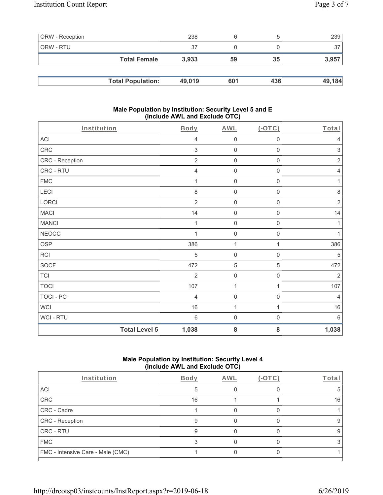| <b>ORW</b> - Reception |                          | 238    | 6   |     | 239    |
|------------------------|--------------------------|--------|-----|-----|--------|
| ORW - RTU              |                          | 37     |     |     | 37     |
|                        | <b>Total Female</b>      | 3.933  | 59  | 35  | 3,957  |
|                        |                          |        |     |     |        |
|                        | <b>Total Population:</b> | 49,019 | 601 | 436 | 49,184 |

#### **Male Population by Institution: Security Level 5 and E (Include AWL and Exclude OTC)**

| Institution     |                      | <b>Body</b>    | <b>AWL</b>          | $($ -OTC $)$        | Total          |
|-----------------|----------------------|----------------|---------------------|---------------------|----------------|
| ACI             |                      | $\overline{4}$ | $\mathbf 0$         | $\mathbf 0$         | $\overline{4}$ |
| CRC             |                      | $\sqrt{3}$     | $\mathbf 0$         | $\mathsf{O}\xspace$ | $\sqrt{3}$     |
| CRC - Reception |                      | $\sqrt{2}$     | $\mathbf 0$         | $\mathsf 0$         | $\sqrt{2}$     |
| CRC - RTU       |                      | $\overline{4}$ | $\mathsf{O}\xspace$ | $\mathsf{O}\xspace$ | $\sqrt{4}$     |
| <b>FMC</b>      |                      |                | $\mathsf{O}\xspace$ | 0                   | 1              |
| LECI            |                      | 8              | $\mathbf 0$         | $\mathbf 0$         | $\,8\,$        |
| LORCI           |                      | $\overline{2}$ | $\mathbf 0$         | $\mathsf{O}\xspace$ | $\sqrt{2}$     |
| <b>MACI</b>     |                      | 14             | $\mathbf 0$         | $\mathsf{O}\xspace$ | 14             |
| <b>MANCI</b>    |                      | 1              | $\mathbf 0$         | $\mathbf 0$         | 1              |
| <b>NEOCC</b>    |                      | 1              | $\mathbf 0$         | 0                   | 1              |
| OSP             |                      | 386            | $\mathbf{1}$        | 1                   | 386            |
| RCI             |                      | 5              | $\mathbf 0$         | $\mathbf 0$         | $\,$ 5 $\,$    |
| <b>SOCF</b>     |                      | 472            | 5                   | 5                   | 472            |
| <b>TCI</b>      |                      | $\overline{2}$ | $\mathsf{O}\xspace$ | $\mathsf{O}\xspace$ | $\overline{2}$ |
| <b>TOCI</b>     |                      | 107            | $\mathbf{1}$        | $\mathbf{1}$        | 107            |
| TOCI - PC       |                      | $\overline{4}$ | $\mathbf 0$         | $\mathsf{O}\xspace$ | $\overline{4}$ |
| <b>WCI</b>      |                      | 16             | $\mathbf{1}$        | $\mathbf{1}$        | 16             |
| WCI - RTU       |                      | $6\,$          | $\mathsf{O}\xspace$ | $\boldsymbol{0}$    | $6\,$          |
|                 | <b>Total Level 5</b> | 1,038          | 8                   | 8                   | 1,038          |

# **Male Population by Institution: Security Level 4 (Include AWL and Exclude OTC)**

| Institution                       | <b>Body</b> | AWL | $(-OTC)$ | Total |
|-----------------------------------|-------------|-----|----------|-------|
| <b>ACI</b>                        |             |     |          | .h    |
| CRC                               | 16          |     |          | 16    |
| CRC - Cadre                       |             |     |          |       |
| CRC - Reception                   | q           |     |          | 9     |
| <b>CRC - RTU</b>                  |             |     |          | 9     |
| <b>FMC</b>                        |             |     |          |       |
| FMC - Intensive Care - Male (CMC) |             |     |          |       |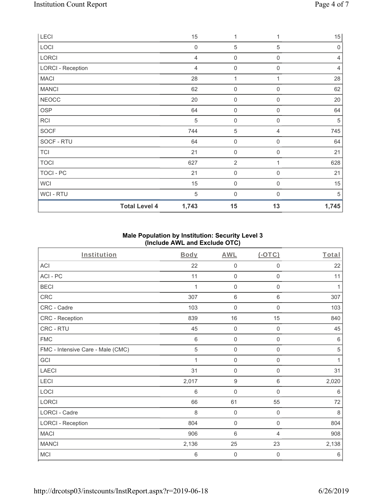| LECI                     | 15             | 1                   |                  | 15             |
|--------------------------|----------------|---------------------|------------------|----------------|
| LOCI                     | $\mathbf 0$    | $\sqrt{5}$          | 5                | $\mathbf 0$    |
| LORCI                    | 4              | $\mathbf 0$         | $\mathbf 0$      | 4              |
| <b>LORCI - Reception</b> | $\overline{4}$ | $\mathbf 0$         | $\mathbf 0$      | $\overline{4}$ |
| <b>MACI</b>              | 28             | 1                   |                  | 28             |
| <b>MANCI</b>             | 62             | $\mathsf{O}\xspace$ | $\mathbf 0$      | 62             |
| <b>NEOCC</b>             | 20             | $\mathbf 0$         | $\mathbf 0$      | 20             |
| OSP                      | 64             | $\mathsf{O}\xspace$ | $\overline{0}$   | 64             |
| <b>RCI</b>               | $\sqrt{5}$     | $\boldsymbol{0}$    | $\boldsymbol{0}$ | 5              |
| SOCF                     | 744            | $\mathbf 5$         | 4                | 745            |
| SOCF - RTU               | 64             | $\mathsf{O}\xspace$ | $\mathbf 0$      | 64             |
| <b>TCI</b>               | 21             | $\mathsf{O}\xspace$ | $\boldsymbol{0}$ | 21             |
| <b>TOCI</b>              | 627            | $\overline{2}$      |                  | 628            |
| TOCI - PC                | 21             | $\mathsf{O}\xspace$ | $\boldsymbol{0}$ | 21             |
| <b>WCI</b>               | 15             | $\mathbf 0$         | $\mathbf 0$      | 15             |
| <b>WCI-RTU</b>           | 5              | 0                   | $\Omega$         | 5              |
| <b>Total Level 4</b>     | 1,743          | 15                  | 13               | 1,745          |

## **Male Population by Institution: Security Level 3 (Include AWL and Exclude OTC)**

| Institution                       | <b>Body</b>     | <b>AWL</b>          | (OTC)               | Total        |
|-----------------------------------|-----------------|---------------------|---------------------|--------------|
| <b>ACI</b>                        | 22              | $\mathbf 0$         | 0                   | 22           |
| ACI-PC                            | 11              | $\mathbf 0$         | $\mathbf 0$         | 11           |
| <b>BECI</b>                       | 1               | $\mathsf{O}\xspace$ | $\mathsf{O}\xspace$ | 1            |
| CRC                               | 307             | $\,6\,$             | 6                   | 307          |
| CRC - Cadre                       | 103             | 0                   | 0                   | 103          |
| CRC - Reception                   | 839             | 16                  | 15                  | 840          |
| CRC - RTU                         | 45              | $\mathsf{O}\xspace$ | $\mathsf 0$         | 45           |
| <b>FMC</b>                        | 6               | $\mathbf 0$         | $\mathbf 0$         | $\,6$        |
| FMC - Intensive Care - Male (CMC) | 5               | $\mathbf 0$         | $\mathbf 0$         | $\sqrt{5}$   |
| GCI                               | 1               | $\mathbf 0$         | $\mathsf 0$         | $\mathbf{1}$ |
| <b>LAECI</b>                      | 31              | $\mathbf 0$         | 0                   | 31           |
| LECI                              | 2,017           | $\boldsymbol{9}$    | 6                   | 2,020        |
| LOCI                              | $6\phantom{1}6$ | 0                   | 0                   | 6            |
| LORCI                             | 66              | 61                  | 55                  | 72           |
| LORCI - Cadre                     | 8               | $\mathbf 0$         | $\mathbf 0$         | 8            |
| <b>LORCI - Reception</b>          | 804             | $\mathbf 0$         | $\mathbf 0$         | 804          |
| <b>MACI</b>                       | 906             | $6\phantom{1}$      | $\overline{4}$      | 908          |
| <b>MANCI</b>                      | 2,136           | 25                  | 23                  | 2,138        |
| <b>MCI</b>                        | 6               | 0                   | 0                   | $\,6$        |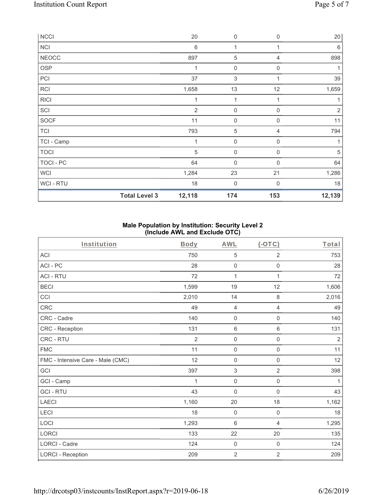| <b>NCCI</b>      |                      | 20             | $\boldsymbol{0}$    | $\mathbf 0$ | 20         |
|------------------|----------------------|----------------|---------------------|-------------|------------|
| <b>NCI</b>       |                      | $\,6$          | 1                   | 1           | 6          |
| <b>NEOCC</b>     |                      | 897            | $\sqrt{5}$          | 4           | 898        |
| <b>OSP</b>       |                      | 1              | $\mathsf{O}\xspace$ | 0           |            |
| PCI              |                      | 37             | $\sqrt{3}$          |             | 39         |
| <b>RCI</b>       |                      | 1,658          | 13                  | 12          | 1,659      |
| <b>RICI</b>      |                      | 1              | 1                   |             |            |
| SCI              |                      | $\overline{2}$ | $\mathsf{O}\xspace$ | $\mathbf 0$ | $\sqrt{2}$ |
| <b>SOCF</b>      |                      | 11             | 0                   | $\Omega$    | 11         |
| <b>TCI</b>       |                      | 793            | 5                   | 4           | 794        |
| TCI - Camp       |                      | 1              | $\mathsf{O}\xspace$ | $\mathbf 0$ | 1          |
| <b>TOCI</b>      |                      | 5              | 0                   | $\Omega$    | 5          |
| <b>TOCI - PC</b> |                      | 64             | $\mathsf{O}\xspace$ | $\mathbf 0$ | 64         |
| <b>WCI</b>       |                      | 1,284          | 23                  | 21          | 1,286      |
| <b>WCI-RTU</b>   |                      | 18             | $\boldsymbol{0}$    | $\Omega$    | 18         |
|                  | <b>Total Level 3</b> | 12,118         | 174                 | 153         | 12,139     |

## **Male Population by Institution: Security Level 2 (Include AWL and Exclude OTC)**

| Institution                       | <b>Body</b>    | <b>AWL</b>       | $(-OTC)$            | Total          |
|-----------------------------------|----------------|------------------|---------------------|----------------|
| <b>ACI</b>                        | 750            | 5                | $\overline{2}$      | 753            |
| ACI-PC                            | 28             | $\mathbf 0$      | $\mathsf 0$         | 28             |
| <b>ACI - RTU</b>                  | 72             | 1                | 1                   | 72             |
| <b>BECI</b>                       | 1,599          | 19               | 12                  | 1,606          |
| CCI                               | 2,010          | 14               | $\,8\,$             | 2,016          |
| CRC                               | 49             | $\overline{4}$   | $\overline{4}$      | 49             |
| CRC - Cadre                       | 140            | $\mathbf 0$      | $\boldsymbol{0}$    | 140            |
| CRC - Reception                   | 131            | $6\,$            | $\,6\,$             | 131            |
| CRC - RTU                         | $\overline{2}$ | $\mathbf 0$      | $\mathsf{O}\xspace$ | $\overline{2}$ |
| <b>FMC</b>                        | 11             | $\mathbf 0$      | $\mathsf{O}\xspace$ | 11             |
| FMC - Intensive Care - Male (CMC) | 12             | $\mathbf 0$      | $\mathsf 0$         | 12             |
| GCI                               | 397            | $\sqrt{3}$       | $\overline{2}$      | 398            |
| GCI - Camp                        | 1              | $\mathbf 0$      | $\mathsf{O}\xspace$ | 1              |
| <b>GCI-RTU</b>                    | 43             | $\mathbf 0$      | $\mathbf 0$         | 43             |
| <b>LAECI</b>                      | 1,160          | 20               | 18                  | 1,162          |
| LECI                              | 18             | $\boldsymbol{0}$ | $\mathsf{O}\xspace$ | 18             |
| LOCI                              | 1,293          | $6\,$            | 4                   | 1,295          |
| <b>LORCI</b>                      | 133            | 22               | 20                  | 135            |
| LORCI - Cadre                     | 124            | $\mathbf 0$      | $\mathsf{O}\xspace$ | 124            |
| <b>LORCI - Reception</b>          | 209            | $\sqrt{2}$       | $\sqrt{2}$          | 209            |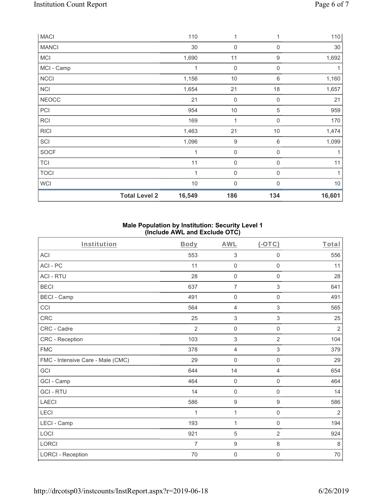| <b>MACI</b>  |                      | 110    | 1                   |                  | 110    |
|--------------|----------------------|--------|---------------------|------------------|--------|
| <b>MANCI</b> |                      | 30     | $\mathsf{O}\xspace$ | $\boldsymbol{0}$ | 30     |
| <b>MCI</b>   |                      | 1,690  | 11                  | $\boldsymbol{9}$ | 1,692  |
| MCI - Camp   |                      | 1      | $\mathsf{O}\xspace$ | $\mathbf 0$      | 1      |
| <b>NCCI</b>  |                      | 1,156  | $10$                | $6\,$            | 1,160  |
| <b>NCI</b>   |                      | 1,654  | 21                  | 18               | 1,657  |
| <b>NEOCC</b> |                      | 21     | $\mathsf{O}\xspace$ | $\overline{0}$   | 21     |
| PCI          |                      | 954    | 10                  | 5                | 959    |
| <b>RCI</b>   |                      | 169    | 1                   | $\mathbf 0$      | 170    |
| <b>RICI</b>  |                      | 1,463  | 21                  | 10               | 1,474  |
| SCI          |                      | 1,096  | $\boldsymbol{9}$    | $\,6\,$          | 1,099  |
| SOCF         |                      | 1      | $\boldsymbol{0}$    | $\mathbf 0$      |        |
| <b>TCI</b>   |                      | 11     | $\mathsf{O}\xspace$ | $\mathbf 0$      | 11     |
| <b>TOCI</b>  |                      | 1      | $\mathsf{O}\xspace$ | $\mathbf 0$      | 1      |
| <b>WCI</b>   |                      | $10$   | 0                   | $\Omega$         | $10$   |
|              | <b>Total Level 2</b> | 16,549 | 186                 | 134              | 16,601 |

## **Male Population by Institution: Security Level 1 (Include AWL and Exclude OTC)**

| Institution                       | Body           | <b>AWL</b>          | $(-OTC)$                  | Total          |
|-----------------------------------|----------------|---------------------|---------------------------|----------------|
| <b>ACI</b>                        | 553            | $\sqrt{3}$          | 0                         | 556            |
| ACI-PC                            | 11             | $\mathsf{O}\xspace$ | $\mathsf{O}\xspace$       | 11             |
| <b>ACI - RTU</b>                  | 28             | $\mathsf{O}\xspace$ | $\mathsf{O}\xspace$       | 28             |
| <b>BECI</b>                       | 637            | $\overline{7}$      | 3                         | 641            |
| <b>BECI - Camp</b>                | 491            | $\mathsf{O}\xspace$ | $\mathsf{O}\xspace$       | 491            |
| CCI                               | 564            | $\overline{4}$      | $\mathfrak{S}$            | 565            |
| CRC                               | 25             | $\sqrt{3}$          | $\ensuremath{\mathsf{3}}$ | 25             |
| CRC - Cadre                       | $\overline{2}$ | $\mathbf 0$         | $\mathbf 0$               | $\overline{2}$ |
| CRC - Reception                   | 103            | 3                   | $\overline{2}$            | 104            |
| <b>FMC</b>                        | 378            | $\overline{4}$      | 3                         | 379            |
| FMC - Intensive Care - Male (CMC) | 29             | $\mathsf{O}\xspace$ | $\mathsf{O}\xspace$       | 29             |
| GCI                               | 644            | 14                  | 4                         | 654            |
| GCI - Camp                        | 464            | $\mathsf{O}\xspace$ | $\mathsf{O}\xspace$       | 464            |
| <b>GCI-RTU</b>                    | 14             | $\mathsf{O}\xspace$ | $\mathsf{O}\xspace$       | 14             |
| <b>LAECI</b>                      | 586            | $\boldsymbol{9}$    | $\boldsymbol{9}$          | 586            |
| LECI                              | 1              | 1                   | $\boldsymbol{0}$          | $\sqrt{2}$     |
| LECI - Camp                       | 193            | 1                   | $\mathsf 0$               | 194            |
| LOCI                              | 921            | 5                   | $\overline{2}$            | 924            |
| LORCI                             | $\overline{7}$ | $\boldsymbol{9}$    | $\,8\,$                   | 8              |
| <b>LORCI - Reception</b>          | 70             | $\mathsf{O}\xspace$ | 0                         | $70\,$         |